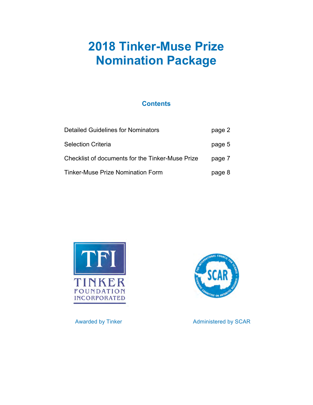# **2018 Tinker-Muse Prize Nomination Package**

# **Contents**

| <b>Detailed Guidelines for Nominators</b>        | page 2 |
|--------------------------------------------------|--------|
| Selection Criteria                               | page 5 |
| Checklist of documents for the Tinker-Muse Prize | page 7 |
| Tinker-Muse Prize Nomination Form                | page 8 |



Awarded by Tinker Administered by SCAR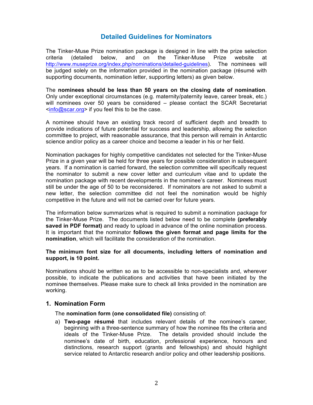## **Detailed Guidelines for Nominators**

The Tinker-Muse Prize nomination package is designed in line with the prize selection criteria (detailed below, and on the Tinker-Muse Prize website at http://www.museprize.org/index.php/nominations/detailed-guidelines). The nominees will be judged solely on the information provided in the nomination package (résumé with supporting documents, nomination letter, supporting letters) as given below.

The **nominees should be less than 50 years on the closing date of nomination**. Only under exceptional circumstances (e.g. maternity/paternity leave, career break, etc.) will nominees over 50 years be considered – please contact the SCAR Secretariat <info@scar.org> if you feel this to be the case.

A nominee should have an existing track record of sufficient depth and breadth to provide indications of future potential for success and leadership, allowing the selection committee to project, with reasonable assurance, that this person will remain in Antarctic science and/or policy as a career choice and become a leader in his or her field.

Nomination packages for highly competitive candidates not selected for the Tinker-Muse Prize in a given year will be held for three years for possible consideration in subsequent years. If a nomination is carried forward, the selection committee will specifically request the nominator to submit a new cover letter and curriculum vitae and to update the nomination package with recent developments in the nominee's career. Nominees must still be under the age of 50 to be reconsidered. If nominators are not asked to submit a new letter, the selection committee did not feel the nomination would be highly competitive in the future and will not be carried over for future years.

The information below summarizes what is required to submit a nomination package for the Tinker-Muse Prize. The documents listed below need to be complete **(preferably saved in PDF format)** and ready to upload in advance of the online nomination process. It is important that the nominator **follows the given format and page limits for the nomination**, which will facilitate the consideration of the nomination.

#### **The minimum font size for all documents, including letters of nomination and support, is 10 point.**

Nominations should be written so as to be accessible to non-specialists and, wherever possible, to indicate the publications and activities that have been initiated by the nominee themselves. Please make sure to check all links provided in the nomination are working.

#### **1. Nomination Form**

The **nomination form (one consolidated file)** consisting of:

a) **Two-page résumé** that includes relevant details of the nominee's career, beginning with a three-sentence summary of how the nominee fits the criteria and ideals of the Tinker-Muse Prize. The details provided should include the nominee's date of birth, education, professional experience, honours and distinctions, research support (grants and fellowships) and should highlight service related to Antarctic research and/or policy and other leadership positions.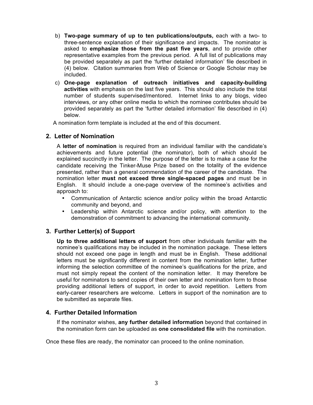- b) **Two-page summary of up to ten publications/outputs,** each with a two- to three-sentence explanation of their significance and impacts. The nominator is asked to **emphasize those from the past five years**, and to provide other representative examples from the previous period. A full list of publications may be provided separately as part the 'further detailed information' file described in (4) below. Citation summaries from Web of Science or Google Scholar may be included.
- c) **One-page explanation of outreach initiatives and capacity-building activities** with emphasis on the last five years. This should also include the total number of students supervised/mentored. Internet links to any blogs, video interviews, or any other online media to which the nominee contributes should be provided separately as part the 'further detailed information' file described in (4) below.

A nomination form template is included at the end of this document.

#### **2. Letter of Nomination**

A **letter of nomination** is required from an individual familiar with the candidate's achievements and future potential (the nominator), both of which should be explained succinctly in the letter. The purpose of the letter is to make a case for the candidate receiving the Tinker-Muse Prize based on the totality of the evidence presented, rather than a general commendation of the career of the candidate. The nomination letter **must not exceed three single-spaced pages** and must be in English. It should include a one-page overview of the nominee's activities and approach to:

- Communication of Antarctic science and/or policy within the broad Antarctic community and beyond, and
- Leadership within Antarctic science and/or policy, with attention to the demonstration of commitment to advancing the international community.

#### **3. Further Letter(s) of Support**

**Up to three additional letters of support** from other individuals familiar with the nominee's qualifications may be included in the nomination package. These letters should not exceed one page in length and must be in English. These additional letters must be significantly different in content from the nomination letter, further informing the selection committee of the nominee's qualifications for the prize, and must not simply repeat the content of the nomination letter. It may therefore be useful for nominators to send copies of their own letter and nomination form to those providing additional letters of support, in order to avoid repetition. Letters from early-career researchers are welcome. Letters in support of the nomination are to be submitted as separate files.

#### **4. Further Detailed Information**

If the nominator wishes, **any further detailed information** beyond that contained in the nomination form can be uploaded as **one consolidated file** with the nomination.

Once these files are ready, the nominator can proceed to the online nomination.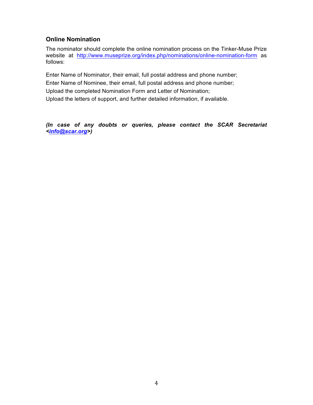### **Online Nomination**

The nominator should complete the online nomination process on the Tinker-Muse Prize website at http://www.museprize.org/index.php/nominations/online-nomination-form as follows:

Enter Name of Nominator, their email, full postal address and phone number; Enter Name of Nominee, their email, full postal address and phone number; Upload the completed Nomination Form and Letter of Nomination; Upload the letters of support, and further detailed information, if available.

*(In case of any doubts or queries, please contact the SCAR Secretariat <info@scar.org>)*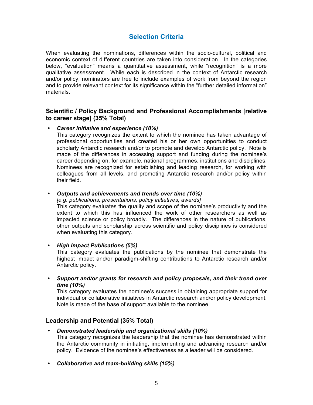## **Selection Criteria**

When evaluating the nominations, differences within the socio-cultural, political and economic context of different countries are taken into consideration. In the categories below, "evaluation" means a quantitative assessment, while "recognition" is a more qualitative assessment. While each is described in the context of Antarctic research and/or policy, nominators are free to include examples of work from beyond the region and to provide relevant context for its significance within the "further detailed information" materials.

#### **Scientific / Policy Background and Professional Accomplishments [relative to career stage] (35% Total)**

#### • *Career initiative and experience (10%)*

This category recognizes the extent to which the nominee has taken advantage of professional opportunities and created his or her own opportunities to conduct scholarly Antarctic research and/or to promote and develop Antarctic policy. Note is made of the differences in accessing support and funding during the nominee's career depending on, for example, national programmes, institutions and disciplines. Nominees are recognized for establishing and leading research, for working with colleagues from all levels, and promoting Antarctic research and/or policy within their field.

#### • *Outputs and achievements and trends over time (10%)*

*[e.g. publications, presentations, policy initiatives, awards]*

This category evaluates the quality and scope of the nominee's productivity and the extent to which this has influenced the work of other researchers as well as impacted science or policy broadly. The differences in the nature of publications, other outputs and scholarship across scientific and policy disciplines is considered when evaluating this category.

• *High Impact Publications (5%)*

This category evaluates the publications by the nominee that demonstrate the highest impact and/or paradigm-shifting contributions to Antarctic research and/or Antarctic policy.

• *Support and/or grants for research and policy proposals, and their trend over time (10%)*

This category evaluates the nominee's success in obtaining appropriate support for individual or collaborative initiatives in Antarctic research and/or policy development. Note is made of the base of support available to the nominee.

#### **Leadership and Potential (35% Total)**

• *Demonstrated leadership and organizational skills (10%)*

This category recognizes the leadership that the nominee has demonstrated within the Antarctic community in initiating, implementing and advancing research and/or policy. Evidence of the nominee's effectiveness as a leader will be considered.

• *Collaborative and team-building skills (15%)*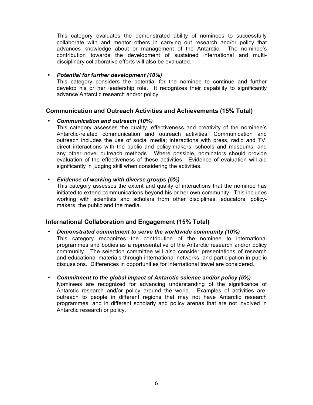This category evaluates the demonstrated ability of nominees to successfully collaborate with and mentor others in carrying out research and/or policy that advances knowledge about or management of the Antarctic. The nominee's contribution towards the development of sustained international and multidisciplinary collaborative efforts will also be evaluated.

#### • *Potential for further development (10%)*

This category considers the potential for the nominee to continue and further develop his or her leadership role. It recognizes their capability to significantly advance Antarctic research and/or policy.

#### **Communication and Outreach Activities and Achievements (15% Total)**

#### • *Communication and outreach (10%)*

This category assesses the quality, effectiveness and creativity of the nominee's Antarctic-related communication and outreach activities. Communication and outreach includes the use of social media; interactions with press, radio and TV; direct interactions with the public and policy-makers, schools and museums; and any other novel outreach methods. Where possible, nominators should provide evaluation of the effectiveness of these activities. Evidence of evaluation will aid significantly in judging skill when considering the activities.

#### • *Evidence of working with diverse groups (5%)*

This category assesses the extent and quality of interactions that the nominee has initiated to extend communications beyond his or her own community. This includes working with scientists and scholars from other disciplines, educators, policymakers, the public and the media.

#### **International Collaboration and Engagement (15% Total)**

#### • *Demonstrated commitment to serve the worldwide community (10%)*

- This category recognizes the contribution of the nominee to international programmes and bodies as a representative of the Antarctic research and/or policy community. The selection committee will also consider presentations of research and educational materials through international networks, and participation in public discussions. Differences in opportunities for international travel are considered.
- *Commitment to the global impact of Antarctic science and/or policy (5%)* Nominees are recognized for advancing understanding of the significance of Antarctic research and/or policy around the world. Examples of activities are: outreach to people in different regions that may not have Antarctic research programmes, and in different scholarly and policy arenas that are not involved in Antarctic research or policy.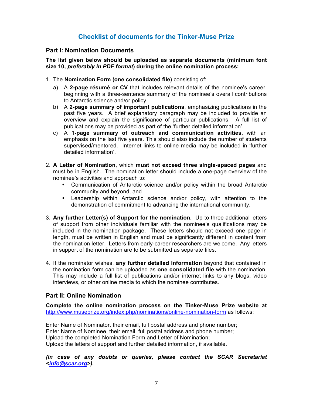## **Checklist of documents for the Tinker-Muse Prize**

#### **Part I: Nomination Documents**

**The list given below should be uploaded as separate documents (minimum font size 10,** *preferably in PDF format***) during the online nomination process:**

- 1. The **Nomination Form (one consolidated file)** consisting of:
	- a) A **2-page résumé or CV** that includes relevant details of the nominee's career, beginning with a three-sentence summary of the nominee's overall contributions to Antarctic science and/or policy.
	- b) A **2-page summary of important publications**, emphasizing publications in the past five years. A brief explanatory paragraph may be included to provide an overview and explain the significance of particular publications. A full list of publications may be provided as part of the 'further detailed information'.
	- c) A **1-page summary of outreach and communication activities**, with an emphasis on the last five years. This should also include the number of students supervised/mentored. Internet links to online media may be included in 'further detailed information'.
- 2. **A Letter of Nomination**, which **must not exceed three single-spaced pages** and must be in English. The nomination letter should include a one-page overview of the nominee's activities and approach to:
	- Communication of Antarctic science and/or policy within the broad Antarctic community and beyond, and
	- Leadership within Antarctic science and/or policy, with attention to the demonstration of commitment to advancing the international community.
- 3. **Any further Letter(s) of Support for the nomination.** Up to three additional letters of support from other individuals familiar with the nominee's qualifications may be included in the nomination package. These letters should not exceed one page in length, must be written in English and must be significantly different in content from the nomination letter. Letters from early-career researchers are welcome. Any letters in support of the nomination are to be submitted as separate files.
- 4. If the nominator wishes, **any further detailed information** beyond that contained in the nomination form can be uploaded as **one consolidated file** with the nomination. This may include a full list of publications and/or internet links to any blogs, video interviews, or other online media to which the nominee contributes.

#### **Part II: Online Nomination**

**Complete the online nomination process on the Tinker-Muse Prize website at**  http://www.museprize.org/index.php/nominations/online-nomination-form as follows:

Enter Name of Nominator, their email, full postal address and phone number; Enter Name of Nominee, their email, full postal address and phone number; Upload the completed Nomination Form and Letter of Nomination; Upload the letters of support and further detailed information, if available.

*(In case of any doubts or queries, please contact the SCAR Secretariat <info@scar.org>).*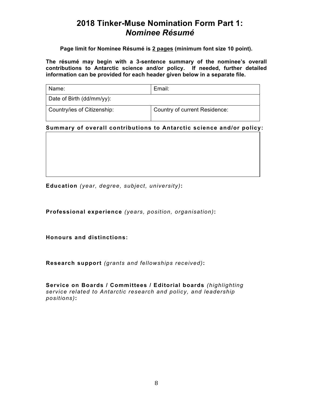# **2018 Tinker-Muse Nomination Form Part 1:**  *Nominee Résumé*

**Page limit for Nominee Résumé is 2 pages (minimum font size 10 point).**

**The résumé may begin with a 3-sentence summary of the nominee's overall contributions to Antarctic science and/or policy. If needed, further detailed information can be provided for each header given below in a separate file.**

| Name:                       | Email:                        |  |
|-----------------------------|-------------------------------|--|
| Date of Birth (dd/mm/yy):   |                               |  |
| Country/ies of Citizenship: | Country of current Residence: |  |

#### **Summary of overall contributions to Antarctic science and/or policy:**

**Education** *(year, degree, subject, university)***:**

**Professional experience** *(years, position, organisation)***:**

**Honours and distinctions:** 

**Research support** *(grants and fellowships received)***:**

**Service on Boards / Committees / Editorial boards** *(highlighting service related to Antarctic research and policy, and leadership positions)***:**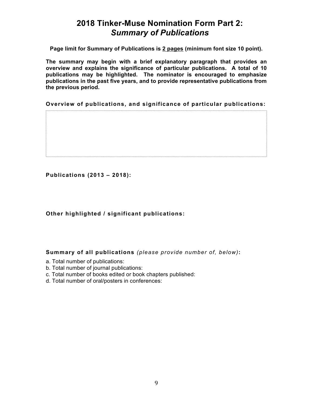# **2018 Tinker-Muse Nomination Form Part 2:**  *Summary of Publications*

**Page limit for Summary of Publications is 2 pages (minimum font size 10 point).**

**The summary may begin with a brief explanatory paragraph that provides an overview and explains the significance of particular publications. A total of 10 publications may be highlighted. The nominator is encouraged to emphasize publications in the past five years, and to provide representative publications from the previous period.** 

**Overview of publications, and significance of particular publications:**

**Publications (2013 – 2018):**

#### **Other highlighted / significant publications:**

**Summary of all publications** *(please provide number of, below)***:**

- a. Total number of publications:
- b. Total number of journal publications:
- c. Total number of books edited or book chapters published:
- d. Total number of oral/posters in conferences: